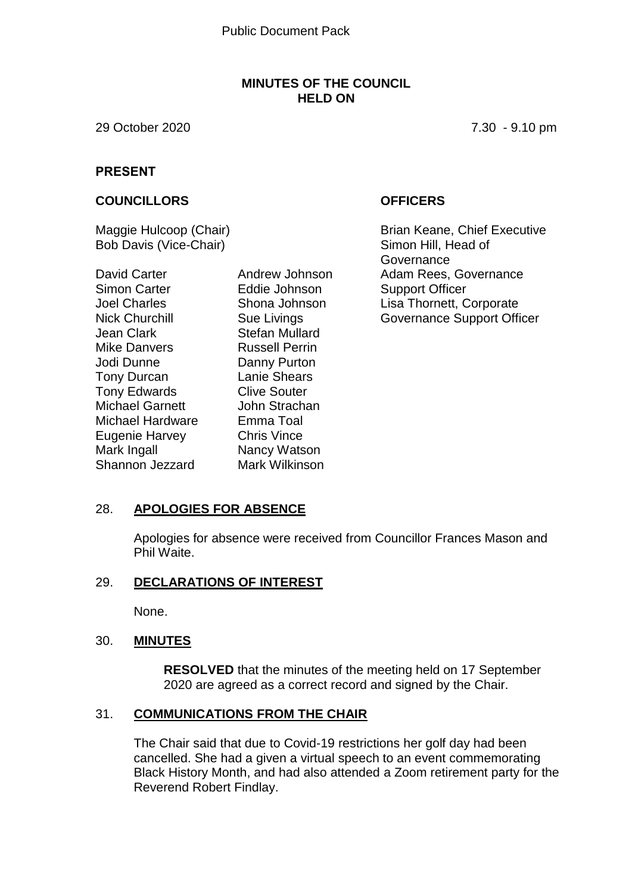#### **MINUTES OF THE COUNCIL HELD ON**

29 October 2020 7.30 - 9.10 pm

#### **PRESENT**

#### **COUNCILLORS OFFICERS**

Maggie Hulcoop (Chair) Bob Davis (Vice-Chair)

David Carter Simon Carter Joel Charles Nick Churchill Jean Clark Mike Danvers Jodi Dunne Tony Durcan Tony Edwards Michael Garnett Michael Hardware Eugenie Harvey Mark Ingall Shannon Jezzard

Andrew Johnson Eddie Johnson Shona Johnson Sue Livings Stefan Mullard Russell Perrin Danny Purton Lanie Shears Clive Souter John Strachan Emma Toal Chris Vince Nancy Watson Mark Wilkinson

Brian Keane, Chief Executive Simon Hill, Head of **Governance** Adam Rees, Governance Support Officer Lisa Thornett, Corporate Governance Support Officer

## 28. **APOLOGIES FOR ABSENCE**

Apologies for absence were received from Councillor Frances Mason and Phil Waite.

#### 29. **DECLARATIONS OF INTEREST**

None.

## 30. **MINUTES**

**RESOLVED** that the minutes of the meeting held on 17 September 2020 are agreed as a correct record and signed by the Chair.

## 31. **COMMUNICATIONS FROM THE CHAIR**

The Chair said that due to Covid-19 restrictions her golf day had been cancelled. She had a given a virtual speech to an event commemorating Black History Month, and had also attended a Zoom retirement party for the Reverend Robert Findlay.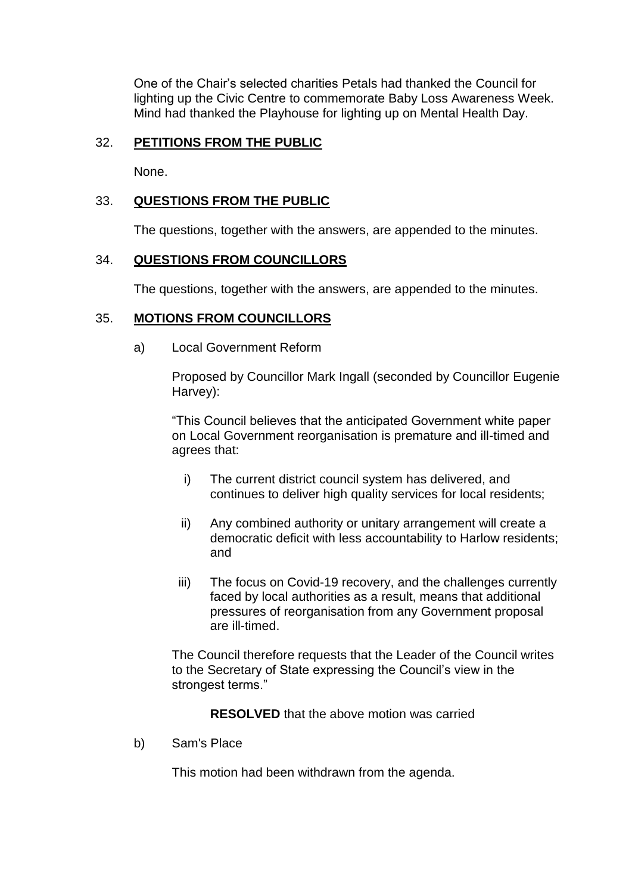One of the Chair's selected charities Petals had thanked the Council for lighting up the Civic Centre to commemorate Baby Loss Awareness Week. Mind had thanked the Playhouse for lighting up on Mental Health Day.

# 32. **PETITIONS FROM THE PUBLIC**

None.

# 33. **QUESTIONS FROM THE PUBLIC**

The questions, together with the answers, are appended to the minutes.

## 34. **QUESTIONS FROM COUNCILLORS**

The questions, together with the answers, are appended to the minutes.

#### 35. **MOTIONS FROM COUNCILLORS**

a) Local Government Reform

Proposed by Councillor Mark Ingall (seconded by Councillor Eugenie Harvey):

"This Council believes that the anticipated Government white paper on Local Government reorganisation is premature and ill-timed and agrees that:

- i) The current district council system has delivered, and continues to deliver high quality services for local residents;
- ii) Any combined authority or unitary arrangement will create a democratic deficit with less accountability to Harlow residents; and
- iii) The focus on Covid-19 recovery, and the challenges currently faced by local authorities as a result, means that additional pressures of reorganisation from any Government proposal are ill-timed.

The Council therefore requests that the Leader of the Council writes to the Secretary of State expressing the Council's view in the strongest terms."

**RESOLVED** that the above motion was carried

b) Sam's Place

This motion had been withdrawn from the agenda.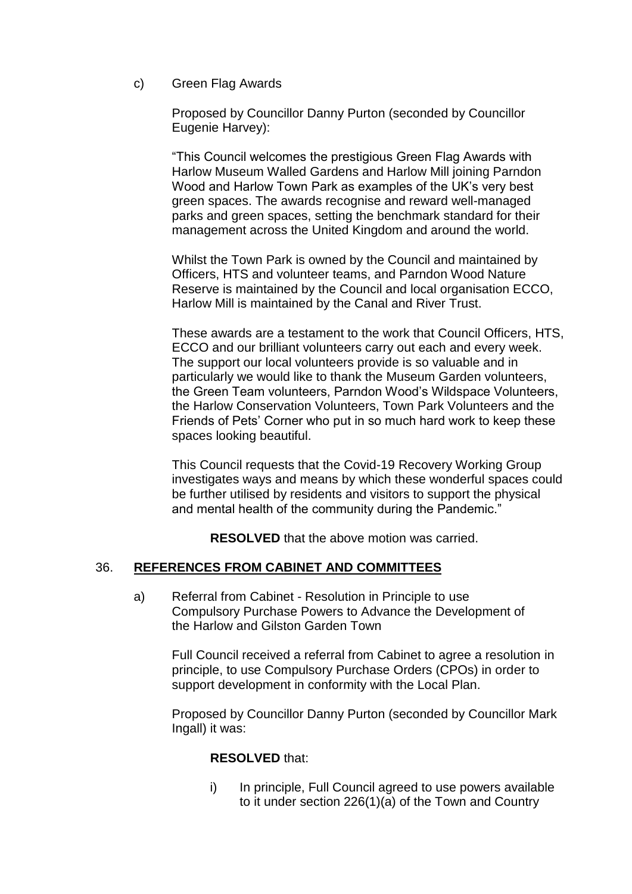c) Green Flag Awards

Proposed by Councillor Danny Purton (seconded by Councillor Eugenie Harvey):

"This Council welcomes the prestigious Green Flag Awards with Harlow Museum Walled Gardens and Harlow Mill joining Parndon Wood and Harlow Town Park as examples of the UK's very best green spaces. The awards recognise and reward well-managed parks and green spaces, setting the benchmark standard for their management across the United Kingdom and around the world.

Whilst the Town Park is owned by the Council and maintained by Officers, HTS and volunteer teams, and Parndon Wood Nature Reserve is maintained by the Council and local organisation ECCO, Harlow Mill is maintained by the Canal and River Trust.

These awards are a testament to the work that Council Officers, HTS, ECCO and our brilliant volunteers carry out each and every week. The support our local volunteers provide is so valuable and in particularly we would like to thank the Museum Garden volunteers, the Green Team volunteers, Parndon Wood's Wildspace Volunteers, the Harlow Conservation Volunteers, Town Park Volunteers and the Friends of Pets' Corner who put in so much hard work to keep these spaces looking beautiful.

This Council requests that the Covid-19 Recovery Working Group investigates ways and means by which these wonderful spaces could be further utilised by residents and visitors to support the physical and mental health of the community during the Pandemic."

**RESOLVED** that the above motion was carried.

## 36. **REFERENCES FROM CABINET AND COMMITTEES**

a) Referral from Cabinet - Resolution in Principle to use Compulsory Purchase Powers to Advance the Development of the Harlow and Gilston Garden Town

Full Council received a referral from Cabinet to agree a resolution in principle, to use Compulsory Purchase Orders (CPOs) in order to support development in conformity with the Local Plan.

Proposed by Councillor Danny Purton (seconded by Councillor Mark Ingall) it was:

## **RESOLVED** that:

i) In principle, Full Council agreed to use powers available to it under section 226(1)(a) of the Town and Country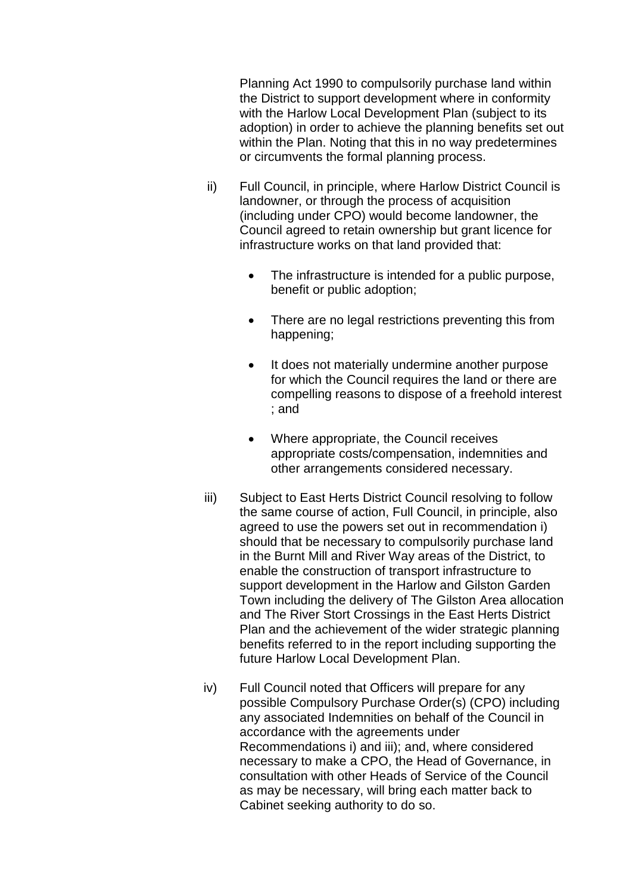Planning Act 1990 to compulsorily purchase land within the District to support development where in conformity with the Harlow Local Development Plan (subject to its adoption) in order to achieve the planning benefits set out within the Plan. Noting that this in no way predetermines or circumvents the formal planning process.

- ii) Full Council, in principle, where Harlow District Council is landowner, or through the process of acquisition (including under CPO) would become landowner, the Council agreed to retain ownership but grant licence for infrastructure works on that land provided that:
	- The infrastructure is intended for a public purpose, benefit or public adoption;
	- There are no legal restrictions preventing this from happening;
	- It does not materially undermine another purpose for which the Council requires the land or there are compelling reasons to dispose of a freehold interest ; and
	- Where appropriate, the Council receives appropriate costs/compensation, indemnities and other arrangements considered necessary.
- iii) Subject to East Herts District Council resolving to follow the same course of action, Full Council, in principle, also agreed to use the powers set out in recommendation i) should that be necessary to compulsorily purchase land in the Burnt Mill and River Way areas of the District, to enable the construction of transport infrastructure to support development in the Harlow and Gilston Garden Town including the delivery of The Gilston Area allocation and The River Stort Crossings in the East Herts District Plan and the achievement of the wider strategic planning benefits referred to in the report including supporting the future Harlow Local Development Plan.
- iv) Full Council noted that Officers will prepare for any possible Compulsory Purchase Order(s) (CPO) including any associated Indemnities on behalf of the Council in accordance with the agreements under Recommendations i) and iii); and, where considered necessary to make a CPO, the Head of Governance, in consultation with other Heads of Service of the Council as may be necessary, will bring each matter back to Cabinet seeking authority to do so.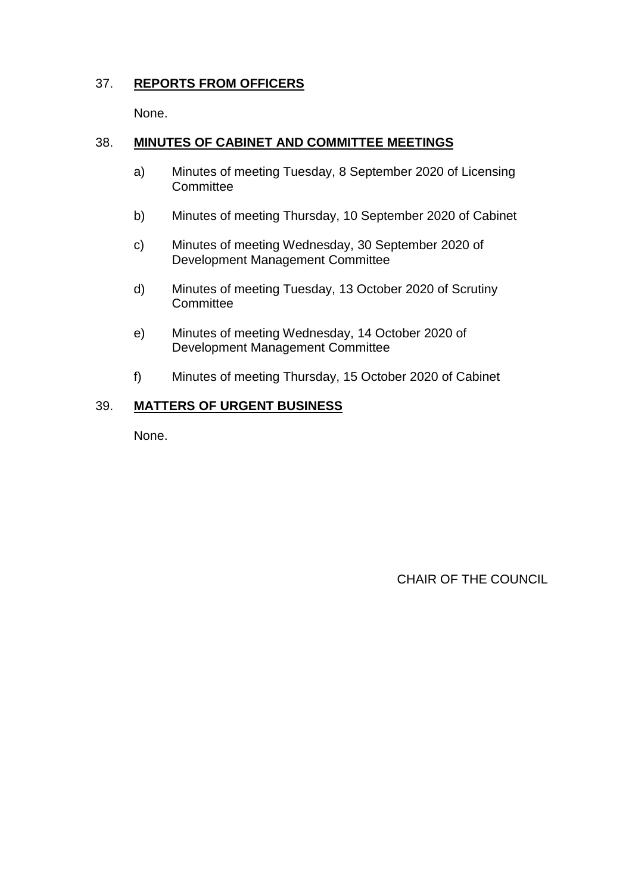# 37. **REPORTS FROM OFFICERS**

None.

# 38. **MINUTES OF CABINET AND COMMITTEE MEETINGS**

- a) Minutes of meeting Tuesday, 8 September 2020 of Licensing **Committee**
- b) Minutes of meeting Thursday, 10 September 2020 of Cabinet
- c) Minutes of meeting Wednesday, 30 September 2020 of Development Management Committee
- d) Minutes of meeting Tuesday, 13 October 2020 of Scrutiny **Committee**
- e) Minutes of meeting Wednesday, 14 October 2020 of Development Management Committee
- f) Minutes of meeting Thursday, 15 October 2020 of Cabinet

# 39. **MATTERS OF URGENT BUSINESS**

None.

CHAIR OF THE COUNCIL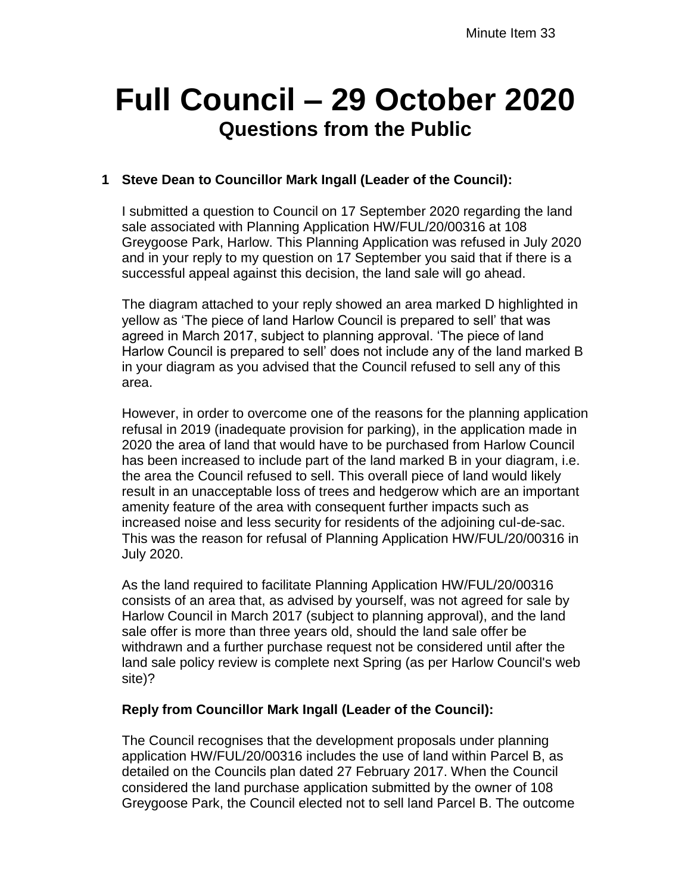# **Full Council – 29 October 2020 Questions from the Public**

# **1 Steve Dean to Councillor Mark Ingall (Leader of the Council):**

I submitted a question to Council on 17 September 2020 regarding the land sale associated with Planning Application HW/FUL/20/00316 at 108 Greygoose Park, Harlow. This Planning Application was refused in July 2020 and in your reply to my question on 17 September you said that if there is a successful appeal against this decision, the land sale will go ahead.

The diagram attached to your reply showed an area marked D highlighted in yellow as 'The piece of land Harlow Council is prepared to sell' that was agreed in March 2017, subject to planning approval. 'The piece of land Harlow Council is prepared to sell' does not include any of the land marked B in your diagram as you advised that the Council refused to sell any of this area.

However, in order to overcome one of the reasons for the planning application refusal in 2019 (inadequate provision for parking), in the application made in 2020 the area of land that would have to be purchased from Harlow Council has been increased to include part of the land marked B in your diagram, i.e. the area the Council refused to sell. This overall piece of land would likely result in an unacceptable loss of trees and hedgerow which are an important amenity feature of the area with consequent further impacts such as increased noise and less security for residents of the adjoining cul-de-sac. This was the reason for refusal of Planning Application HW/FUL/20/00316 in July 2020.

As the land required to facilitate Planning Application HW/FUL/20/00316 consists of an area that, as advised by yourself, was not agreed for sale by Harlow Council in March 2017 (subject to planning approval), and the land sale offer is more than three years old, should the land sale offer be withdrawn and a further purchase request not be considered until after the land sale policy review is complete next Spring (as per Harlow Council's web site)?

# **Reply from Councillor Mark Ingall (Leader of the Council):**

The Council recognises that the development proposals under planning application HW/FUL/20/00316 includes the use of land within Parcel B, as detailed on the Councils plan dated 27 February 2017. When the Council considered the land purchase application submitted by the owner of 108 Greygoose Park, the Council elected not to sell land Parcel B. The outcome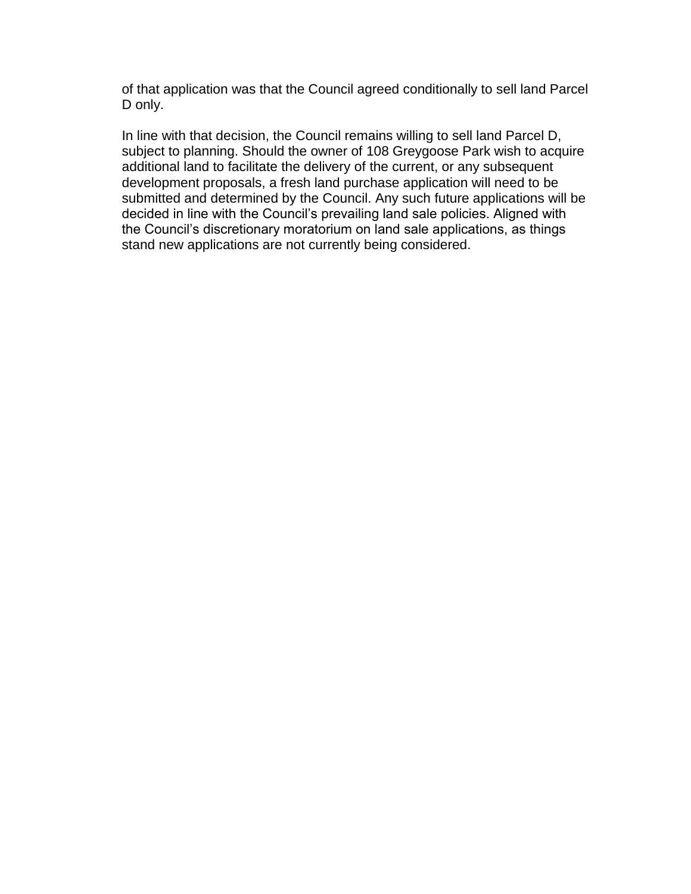of that application was that the Council agreed conditionally to sell land Parcel D only.

In line with that decision, the Council remains willing to sell land Parcel D, subject to planning. Should the owner of 108 Greygoose Park wish to acquire additional land to facilitate the delivery of the current, or any subsequent development proposals, a fresh land purchase application will need to be submitted and determined by the Council. Any such future applications will be decided in line with the Council's prevailing land sale policies. Aligned with the Council's discretionary moratorium on land sale applications, as things stand new applications are not currently being considered.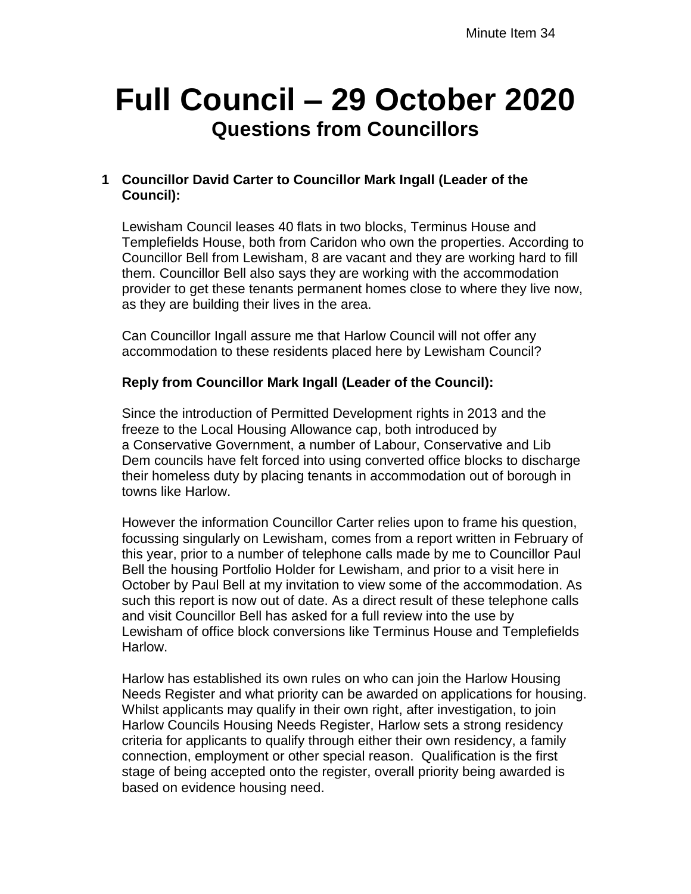# **Full Council – 29 October 2020 Questions from Councillors**

# **1 Councillor David Carter to Councillor Mark Ingall (Leader of the Council):**

Lewisham Council leases 40 flats in two blocks, Terminus House and Templefields House, both from Caridon who own the properties. According to Councillor Bell from Lewisham, 8 are vacant and they are working hard to fill them. Councillor Bell also says they are working with the accommodation provider to get these tenants permanent homes close to where they live now, as they are building their lives in the area.

Can Councillor Ingall assure me that Harlow Council will not offer any accommodation to these residents placed here by Lewisham Council?

# **Reply from Councillor Mark Ingall (Leader of the Council):**

Since the introduction of Permitted Development rights in 2013 and the freeze to the Local Housing Allowance cap, both introduced by a Conservative Government, a number of Labour, Conservative and Lib Dem councils have felt forced into using converted office blocks to discharge their homeless duty by placing tenants in accommodation out of borough in towns like Harlow.

However the information Councillor Carter relies upon to frame his question, focussing singularly on Lewisham, comes from a report written in February of this year, prior to a number of telephone calls made by me to Councillor Paul Bell the housing Portfolio Holder for Lewisham, and prior to a visit here in October by Paul Bell at my invitation to view some of the accommodation. As such this report is now out of date. As a direct result of these telephone calls and visit Councillor Bell has asked for a full review into the use by Lewisham of office block conversions like Terminus House and Templefields Harlow.

Harlow has established its own rules on who can join the Harlow Housing Needs Register and what priority can be awarded on applications for housing. Whilst applicants may qualify in their own right, after investigation, to join Harlow Councils Housing Needs Register, Harlow sets a strong residency criteria for applicants to qualify through either their own residency, a family connection, employment or other special reason. Qualification is the first stage of being accepted onto the register, overall priority being awarded is based on evidence housing need.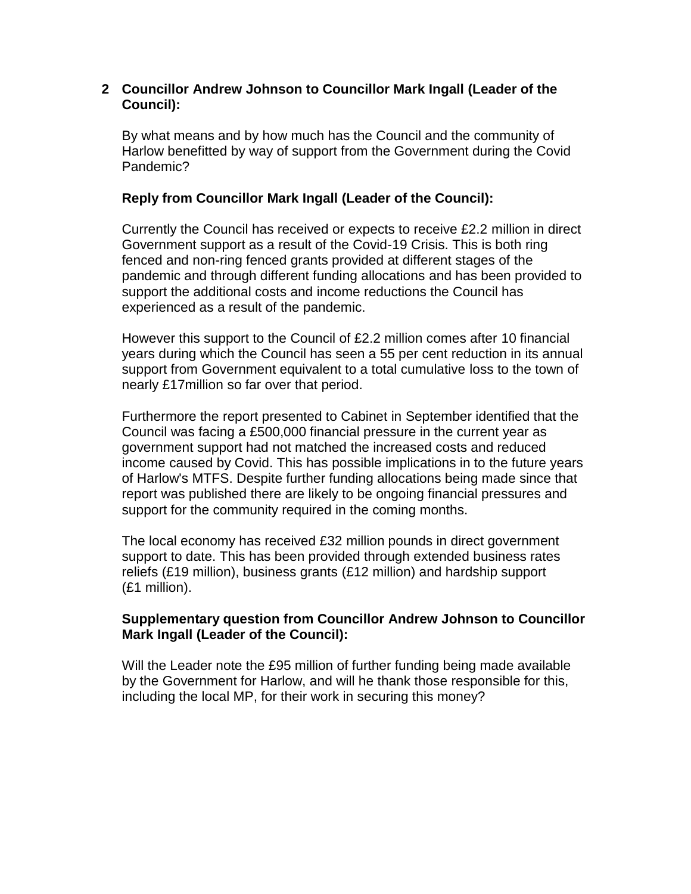### **2 Councillor Andrew Johnson to Councillor Mark Ingall (Leader of the Council):**

By what means and by how much has the Council and the community of Harlow benefitted by way of support from the Government during the Covid Pandemic?

# **Reply from Councillor Mark Ingall (Leader of the Council):**

Currently the Council has received or expects to receive £2.2 million in direct Government support as a result of the Covid-19 Crisis. This is both ring fenced and non-ring fenced grants provided at different stages of the pandemic and through different funding allocations and has been provided to support the additional costs and income reductions the Council has experienced as a result of the pandemic.

However this support to the Council of £2.2 million comes after 10 financial years during which the Council has seen a 55 per cent reduction in its annual support from Government equivalent to a total cumulative loss to the town of nearly £17million so far over that period.

Furthermore the report presented to Cabinet in September identified that the Council was facing a £500,000 financial pressure in the current year as government support had not matched the increased costs and reduced income caused by Covid. This has possible implications in to the future years of Harlow's MTFS. Despite further funding allocations being made since that report was published there are likely to be ongoing financial pressures and support for the community required in the coming months.

The local economy has received £32 million pounds in direct government support to date. This has been provided through extended business rates reliefs (£19 million), business grants (£12 million) and hardship support (£1 million).

#### **Supplementary question from Councillor Andrew Johnson to Councillor Mark Ingall (Leader of the Council):**

Will the Leader note the £95 million of further funding being made available by the Government for Harlow, and will he thank those responsible for this, including the local MP, for their work in securing this money?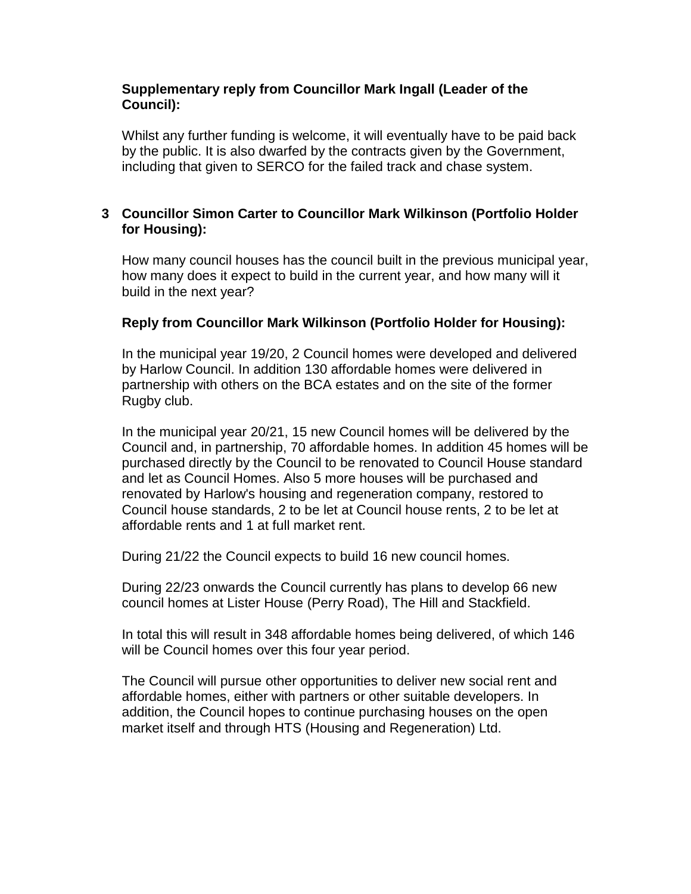### **Supplementary reply from Councillor Mark Ingall (Leader of the Council):**

Whilst any further funding is welcome, it will eventually have to be paid back by the public. It is also dwarfed by the contracts given by the Government, including that given to SERCO for the failed track and chase system.

# **3 Councillor Simon Carter to Councillor Mark Wilkinson (Portfolio Holder for Housing):**

How many council houses has the council built in the previous municipal year, how many does it expect to build in the current year, and how many will it build in the next year?

# **Reply from Councillor Mark Wilkinson (Portfolio Holder for Housing):**

In the municipal year 19/20, 2 Council homes were developed and delivered by Harlow Council. In addition 130 affordable homes were delivered in partnership with others on the BCA estates and on the site of the former Rugby club.

In the municipal year 20/21, 15 new Council homes will be delivered by the Council and, in partnership, 70 affordable homes. In addition 45 homes will be purchased directly by the Council to be renovated to Council House standard and let as Council Homes. Also 5 more houses will be purchased and renovated by Harlow's housing and regeneration company, restored to Council house standards, 2 to be let at Council house rents, 2 to be let at affordable rents and 1 at full market rent.

During 21/22 the Council expects to build 16 new council homes.

During 22/23 onwards the Council currently has plans to develop 66 new council homes at Lister House (Perry Road), The Hill and Stackfield.

In total this will result in 348 affordable homes being delivered, of which 146 will be Council homes over this four year period.

The Council will pursue other opportunities to deliver new social rent and affordable homes, either with partners or other suitable developers. In addition, the Council hopes to continue purchasing houses on the open market itself and through HTS (Housing and Regeneration) Ltd.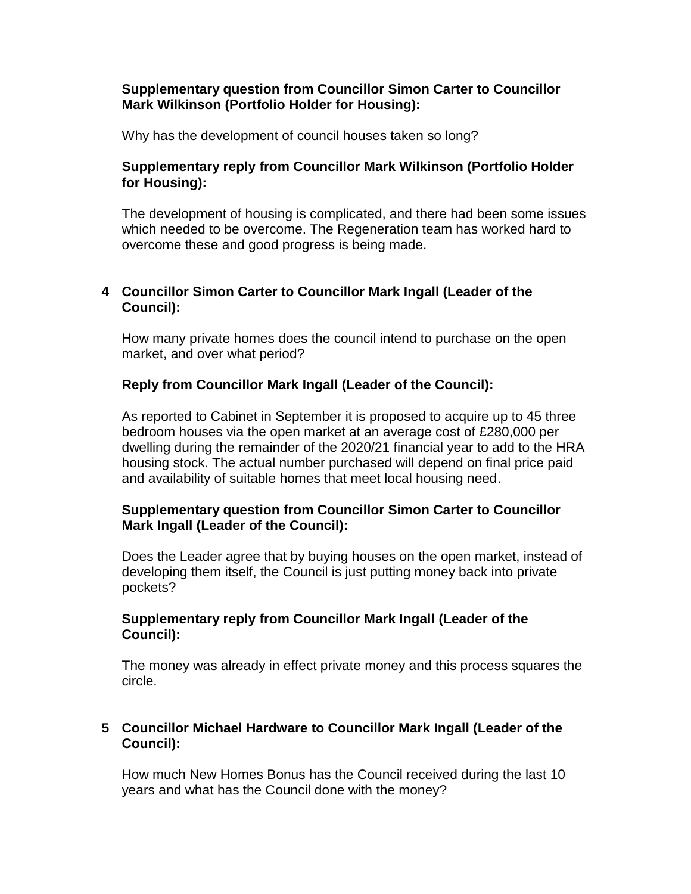#### **Supplementary question from Councillor Simon Carter to Councillor Mark Wilkinson (Portfolio Holder for Housing):**

Why has the development of council houses taken so long?

# **Supplementary reply from Councillor Mark Wilkinson (Portfolio Holder for Housing):**

The development of housing is complicated, and there had been some issues which needed to be overcome. The Regeneration team has worked hard to overcome these and good progress is being made.

# **4 Councillor Simon Carter to Councillor Mark Ingall (Leader of the Council):**

How many private homes does the council intend to purchase on the open market, and over what period?

# **Reply from Councillor Mark Ingall (Leader of the Council):**

As reported to Cabinet in September it is proposed to acquire up to 45 three bedroom houses via the open market at an average cost of £280,000 per dwelling during the remainder of the 2020/21 financial year to add to the HRA housing stock. The actual number purchased will depend on final price paid and availability of suitable homes that meet local housing need.

# **Supplementary question from Councillor Simon Carter to Councillor Mark Ingall (Leader of the Council):**

Does the Leader agree that by buying houses on the open market, instead of developing them itself, the Council is just putting money back into private pockets?

# **Supplementary reply from Councillor Mark Ingall (Leader of the Council):**

The money was already in effect private money and this process squares the circle.

# **5 Councillor Michael Hardware to Councillor Mark Ingall (Leader of the Council):**

How much New Homes Bonus has the Council received during the last 10 years and what has the Council done with the money?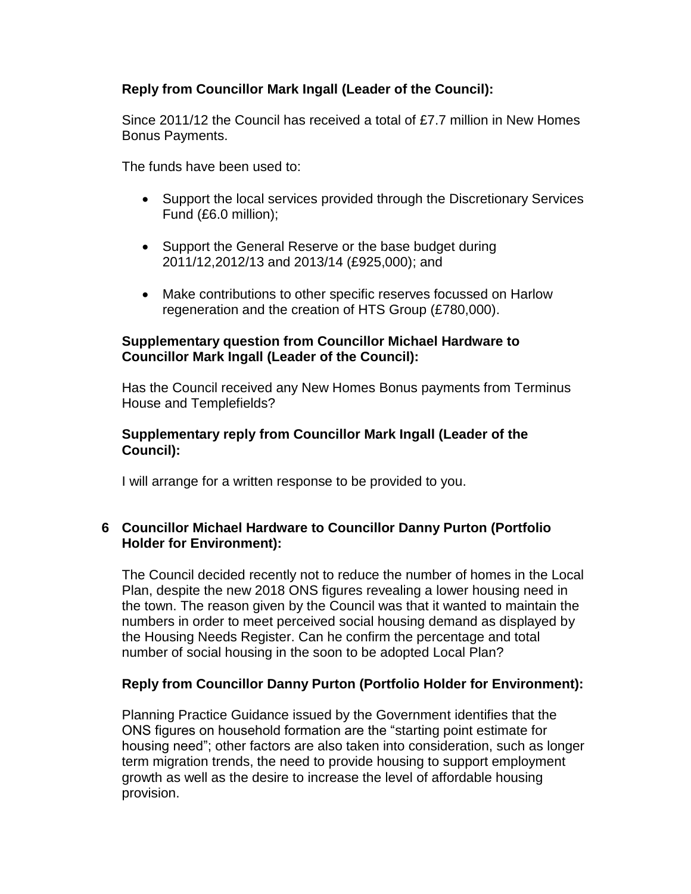# **Reply from Councillor Mark Ingall (Leader of the Council):**

Since 2011/12 the Council has received a total of £7.7 million in New Homes Bonus Payments.

The funds have been used to:

- Support the local services provided through the Discretionary Services Fund (£6.0 million);
- Support the General Reserve or the base budget during 2011/12,2012/13 and 2013/14 (£925,000); and
- Make contributions to other specific reserves focussed on Harlow regeneration and the creation of HTS Group (£780,000).

#### **Supplementary question from Councillor Michael Hardware to Councillor Mark Ingall (Leader of the Council):**

Has the Council received any New Homes Bonus payments from Terminus House and Templefields?

#### **Supplementary reply from Councillor Mark Ingall (Leader of the Council):**

I will arrange for a written response to be provided to you.

# **6 Councillor Michael Hardware to Councillor Danny Purton (Portfolio Holder for Environment):**

The Council decided recently not to reduce the number of homes in the Local Plan, despite the new 2018 ONS figures revealing a lower housing need in the town. The reason given by the Council was that it wanted to maintain the numbers in order to meet perceived social housing demand as displayed by the Housing Needs Register. Can he confirm the percentage and total number of social housing in the soon to be adopted Local Plan?

# **Reply from Councillor Danny Purton (Portfolio Holder for Environment):**

Planning Practice Guidance issued by the Government identifies that the ONS figures on household formation are the "starting point estimate for housing need"; other factors are also taken into consideration, such as longer term migration trends, the need to provide housing to support employment growth as well as the desire to increase the level of affordable housing provision.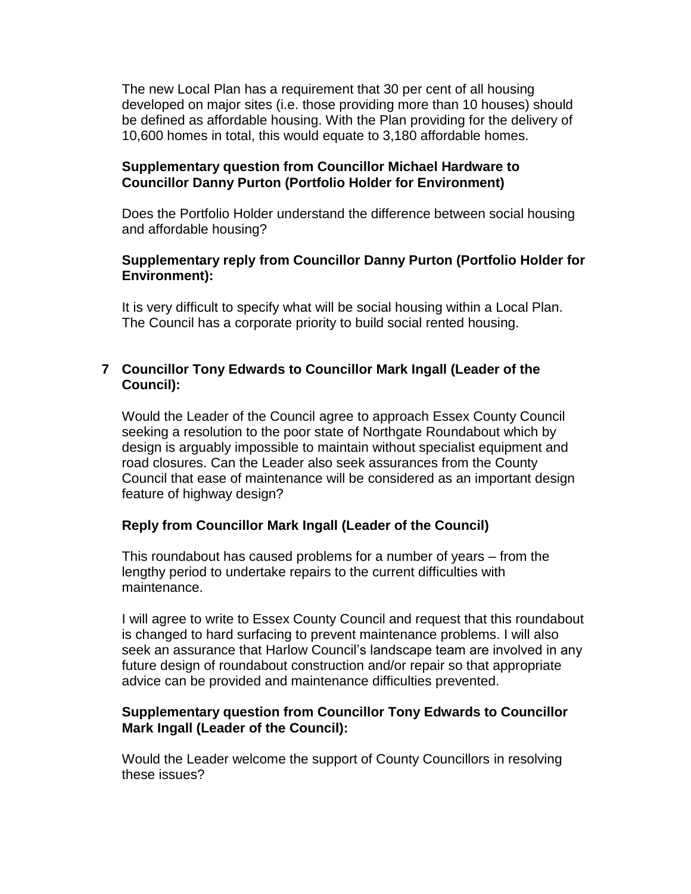The new Local Plan has a requirement that 30 per cent of all housing developed on major sites (i.e. those providing more than 10 houses) should be defined as affordable housing. With the Plan providing for the delivery of 10,600 homes in total, this would equate to 3,180 affordable homes.

#### **Supplementary question from Councillor Michael Hardware to Councillor Danny Purton (Portfolio Holder for Environment)**

Does the Portfolio Holder understand the difference between social housing and affordable housing?

## **Supplementary reply from Councillor Danny Purton (Portfolio Holder for Environment):**

It is very difficult to specify what will be social housing within a Local Plan. The Council has a corporate priority to build social rented housing.

## **7 Councillor Tony Edwards to Councillor Mark Ingall (Leader of the Council):**

Would the Leader of the Council agree to approach Essex County Council seeking a resolution to the poor state of Northgate Roundabout which by design is arguably impossible to maintain without specialist equipment and road closures. Can the Leader also seek assurances from the County Council that ease of maintenance will be considered as an important design feature of highway design?

#### **Reply from Councillor Mark Ingall (Leader of the Council)**

This roundabout has caused problems for a number of years – from the lengthy period to undertake repairs to the current difficulties with maintenance.

I will agree to write to Essex County Council and request that this roundabout is changed to hard surfacing to prevent maintenance problems. I will also seek an assurance that Harlow Council's landscape team are involved in any future design of roundabout construction and/or repair so that appropriate advice can be provided and maintenance difficulties prevented.

#### **Supplementary question from Councillor Tony Edwards to Councillor Mark Ingall (Leader of the Council):**

Would the Leader welcome the support of County Councillors in resolving these issues?